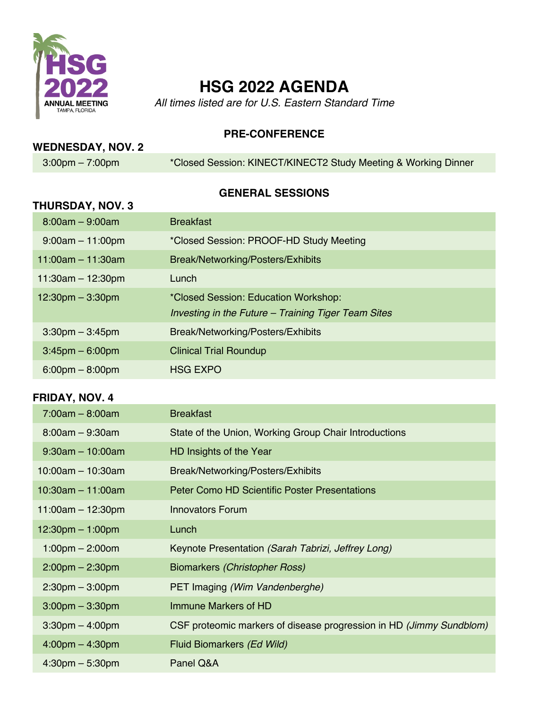

# **HSG 2022 AGENDA**

*All times listed are for U.S. Eastern Standard Time*

**PRE-CONFERENCE**

## **WEDNESDAY, NOV. 2**

3:00pm – 7:00pm \*Closed Session: KINECT/KINECT2 Study Meeting & Working Dinner

### **GENERAL SESSIONS**

| <b>THURSDAY, NOV. 3</b>            |                                                                                             |
|------------------------------------|---------------------------------------------------------------------------------------------|
| $8:00am - 9:00am$                  | <b>Breakfast</b>                                                                            |
| $9:00am - 11:00pm$                 | *Closed Session: PROOF-HD Study Meeting                                                     |
| 11:00am $-$ 11:30am                | Break/Networking/Posters/Exhibits                                                           |
| $11:30am - 12:30pm$                | Lunch                                                                                       |
| $12:30 \text{pm} - 3:30 \text{pm}$ | *Closed Session: Education Workshop:<br>Investing in the Future – Training Tiger Team Sites |
| $3:30$ pm $-3:45$ pm               | Break/Networking/Posters/Exhibits                                                           |
| $3:45$ pm $-6:00$ pm               | <b>Clinical Trial Roundup</b>                                                               |
| $6:00 \text{pm} - 8:00 \text{pm}$  | <b>HSG EXPO</b>                                                                             |

#### **FRIDAY, NOV. 4**

| $7:00am - 8:00am$                  | <b>Breakfast</b>                                                    |
|------------------------------------|---------------------------------------------------------------------|
| $8:00am - 9:30am$                  | State of the Union, Working Group Chair Introductions               |
| $9:30$ am - 10:00am                | HD Insights of the Year                                             |
| $10:00$ am $-10:30$ am             | Break/Networking/Posters/Exhibits                                   |
| $10:30$ am $-11:00$ am             | <b>Peter Como HD Scientific Poster Presentations</b>                |
| 11:00am $-$ 12:30pm                | Innovators Forum                                                    |
| $12:30 \text{pm} - 1:00 \text{pm}$ | Lunch                                                               |
|                                    |                                                                     |
| $1:00 \text{pm} - 2:00 \text{cm}$  | Keynote Presentation (Sarah Tabrizi, Jeffrey Long)                  |
| $2:00$ pm $- 2:30$ pm              | Biomarkers (Christopher Ross)                                       |
| $2:30 \text{pm} - 3:00 \text{pm}$  | PET Imaging (Wim Vandenberghe)                                      |
| $3:00 \text{pm} - 3:30 \text{pm}$  | Immune Markers of HD                                                |
| $3:30$ pm $-4:00$ pm               | CSF proteomic markers of disease progression in HD (Jimmy Sundblom) |
| $4:00 \text{pm} - 4:30 \text{pm}$  | Fluid Biomarkers (Ed Wild)                                          |